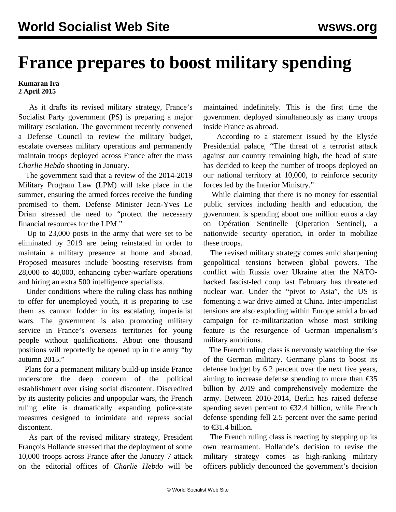## **France prepares to boost military spending**

## **Kumaran Ira 2 April 2015**

 As it drafts its revised military strategy, France's Socialist Party government (PS) is preparing a major military escalation. The government recently convened a Defense Council to review the military budget, escalate overseas military operations and permanently maintain troops deployed across France after the mass *Charlie Hebdo* shooting in January.

 The government said that a review of the 2014-2019 Military Program Law (LPM) will take place in the summer, ensuring the armed forces receive the funding promised to them. Defense Minister Jean-Yves Le Drian stressed the need to "protect the necessary financial resources for the LPM."

 Up to 23,000 posts in the army that were set to be eliminated by 2019 are being reinstated in order to maintain a military presence at home and abroad. Proposed measures include boosting reservists from 28,000 to 40,000, enhancing cyber-warfare operations and hiring an extra 500 intelligence specialists.

 Under conditions where the ruling class has nothing to offer for unemployed youth, it is preparing to use them as cannon fodder in its escalating imperialist wars. The government is also promoting military service in France's overseas territories for young people without qualifications. About one thousand positions will reportedly be opened up in the army "by autumn 2015."

 Plans for a permanent military build-up inside France underscore the deep concern of the political establishment over rising social discontent. Discredited by its austerity policies and unpopular wars, the French ruling elite is dramatically expanding police-state measures designed to intimidate and repress social discontent.

 As part of the revised military strategy, President François Hollande stressed that the deployment of some 10,000 troops across France after the January 7 attack on the editorial offices of *Charlie Hebdo* will be

maintained indefinitely. This is the first time the government deployed simultaneously as many troops inside France as abroad.

 According to a statement issued by the Elysée Presidential palace, "The threat of a terrorist attack against our country remaining high, the head of state has decided to keep the number of troops deployed on our national territory at 10,000, to reinforce security forces led by the Interior Ministry."

 While claiming that there is no money for essential public services including health and education, the government is spending about one million euros a day on Opération Sentinelle (Operation Sentinel), a nationwide security operation, in order to mobilize these troops.

 The revised military strategy comes amid sharpening geopolitical tensions between global powers. The conflict with Russia over Ukraine after the NATObacked fascist-led coup last February has threatened nuclear war. Under the "pivot to Asia", the US is fomenting a war drive aimed at China. Inter-imperialist tensions are also exploding within Europe amid a broad campaign for re-militarization whose most striking feature is the resurgence of German imperialism's military ambitions.

 The French ruling class is nervously watching the rise of the German military. Germany plans to boost its defense budget by 6.2 percent over the next five years, aiming to increase defense spending to more than  $\epsilon$ 35 billion by 2019 and comprehensively modernize the army. Between 2010-2014, Berlin has raised defense spending seven percent to €32.4 billion, while French defense spending fell 2.5 percent over the same period to  $\text{\textsterling}31.4$  billion.

 The French ruling class is reacting by stepping up its own rearmament. Hollande's decision to revise the military strategy comes as high-ranking military officers publicly denounced the government's decision